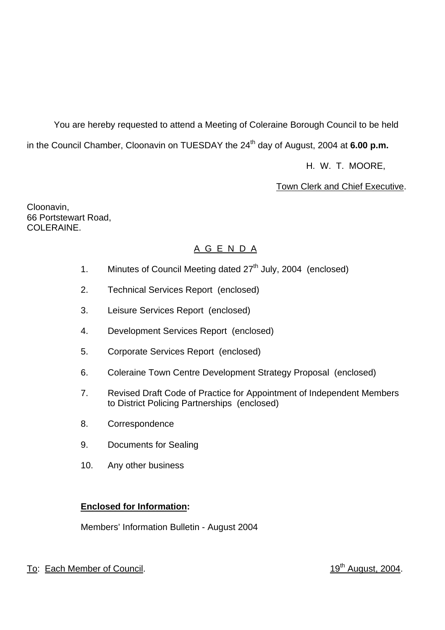You are hereby requested to attend a Meeting of Coleraine Borough Council to be held in the Council Chamber, Cloonavin on TUESDAY the 24<sup>th</sup> day of August, 2004 at 6.00 p.m.

H. W. T. MOORE,

Town Clerk and Chief Executive.

Cloonavin, 66 Portstewart Road, COLERAINE.

# A G E N D A

- 1. Minutes of Council Meeting dated  $27<sup>th</sup>$  July, 2004 (enclosed)
- 2. Technical Services Report (enclosed)
- 3. Leisure Services Report (enclosed)
- 4. Development Services Report (enclosed)
- 5. Corporate Services Report (enclosed)
- 6. Coleraine Town Centre Development Strategy Proposal (enclosed)
- 7. Revised Draft Code of Practice for Appointment of Independent Members to District Policing Partnerships (enclosed)
- 8. Correspondence
- 9. Documents for Sealing
- 10. Any other business

# **Enclosed for Information:**

Members' Information Bulletin - August 2004

# To: Each Member of Council. To: Each Member of Council.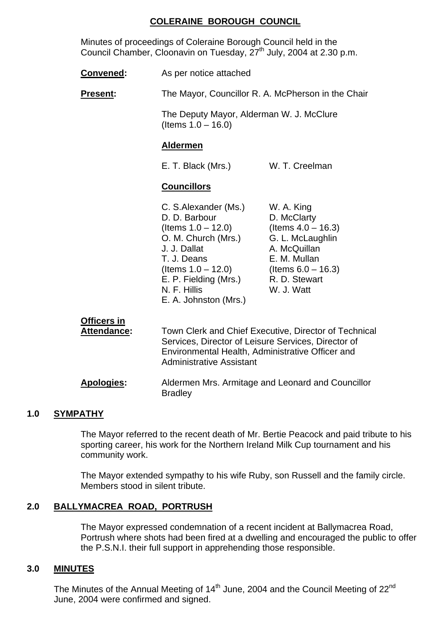## **COLERAINE BOROUGH COUNCIL**

 Minutes of proceedings of Coleraine Borough Council held in the Council Chamber, Cloonavin on Tuesday, 27<sup>th</sup> July, 2004 at 2.30 p.m.

| Convened:       | As per notice attached                                                                                               |                                                                                                        |
|-----------------|----------------------------------------------------------------------------------------------------------------------|--------------------------------------------------------------------------------------------------------|
| <b>Present:</b> | The Mayor, Councillor R. A. McPherson in the Chair                                                                   |                                                                                                        |
|                 | The Deputy Mayor, Alderman W. J. McClure<br>(Items $1.0 - 16.0$ )                                                    |                                                                                                        |
|                 | <b>Aldermen</b>                                                                                                      |                                                                                                        |
|                 | E. T. Black (Mrs.)                                                                                                   | W. T. Creelman                                                                                         |
|                 | <b>Councillors</b>                                                                                                   |                                                                                                        |
|                 | C. S.Alexander (Ms.)<br>D. D. Barbour<br>(Items $1.0 - 12.0$ )<br>O. M. Church (Mrs.)<br>J. J. Dallat<br>T. J. Deans | W. A. King<br>D. McClarty<br>(Items $4.0 - 16.3$ )<br>G. L. McLaughlin<br>A. McQuillan<br>E. M. Mullan |

 Environmental Health, Administrative Officer and Administrative Assistant

 **Attendance:** Town Clerk and Chief Executive, Director of Technical

E. A. Johnston (Mrs.)

 **Apologies:** Aldermen Mrs. Armitage and Leonard and Councillor **Bradley** 

## **1.0 SYMPATHY**

The Mayor referred to the recent death of Mr. Bertie Peacock and paid tribute to his sporting career, his work for the Northern Ireland Milk Cup tournament and his community work.

 $($ ltems  $1.0 - 12.0)$  (Items  $6.0 - 16.3)$ E. P. Fielding (Mrs.) R. D. Stewart N. F. Hillis W. J. Watt

Services, Director of Leisure Services, Director of

The Mayor extended sympathy to his wife Ruby, son Russell and the family circle. Members stood in silent tribute.

## **2.0 BALLYMACREA ROAD, PORTRUSH**

**Officers in**

The Mayor expressed condemnation of a recent incident at Ballymacrea Road, Portrush where shots had been fired at a dwelling and encouraged the public to offer the P.S.N.I. their full support in apprehending those responsible.

## **3.0 MINUTES**

The Minutes of the Annual Meeting of  $14<sup>th</sup>$  June, 2004 and the Council Meeting of  $22<sup>nd</sup>$ June, 2004 were confirmed and signed.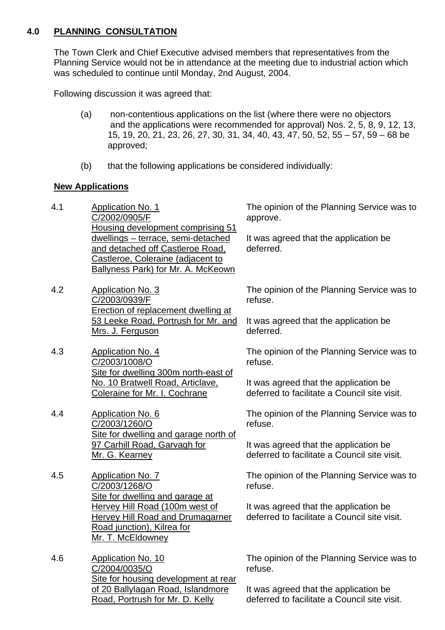## **4.0 PLANNING CONSULTATION**

The Town Clerk and Chief Executive advised members that representatives from the Planning Service would not be in attendance at the meeting due to industrial action which was scheduled to continue until Monday, 2nd August, 2004.

Following discussion it was agreed that:

- (a) non-contentious applications on the list (where there were no objectors and the applications were recommended for approval) Nos. 2, 5, 8, 9, 12, 13, 15, 19, 20, 21, 23, 26, 27, 30, 31, 34, 40, 43, 47, 50, 52, 55 – 57, 59 – 68 be approved;
- (b) that the following applications be considered individually:

## **New Applications**

- 4.1 Application No. 1 C/2002/0905/F Housing development comprising 51 dwellings – terrace, semi-detached and detached off Castleroe Road, Castleroe, Coleraine (adjacent to Ballyness Park) for Mr. A. McKeown
- 4.2 Application No. 3 C/2003/0939/F Erection of replacement dwelling at 53 Leeke Road, Portrush for Mr. and Mrs. J. Ferguson
- 4.3 Application No. 4 C/2003/1008/O Site for dwelling 300m north-east of No. 10 Bratwell Road, Articlave, Coleraine for Mr. I. Cochrane
- 4.4 Application No. 6 C/2003/1260/O Site for dwelling and garage north of 97 Carhill Road, Garvagh for Mr. G. Kearney
- 4.5 Application No. 7 C/2003/1268/O Site for dwelling and garage at Hervey Hill Road (100m west of Hervey Hill Road and Drumagarner Road junction), Kilrea for Mr. T. McEldowney
- 4.6 Application No. 10 C/2004/0035/O Site for housing development at rear of 20 Ballylagan Road, Islandmore Road, Portrush for Mr. D. Kelly

The opinion of the Planning Service was to approve.

It was agreed that the application be deferred.

The opinion of the Planning Service was to refuse.

It was agreed that the application be deferred.

The opinion of the Planning Service was to refuse.

It was agreed that the application be deferred to facilitate a Council site visit.

The opinion of the Planning Service was to refuse.

It was agreed that the application be deferred to facilitate a Council site visit.

The opinion of the Planning Service was to refuse.

It was agreed that the application be deferred to facilitate a Council site visit.

The opinion of the Planning Service was to refuse.

It was agreed that the application be deferred to facilitate a Council site visit.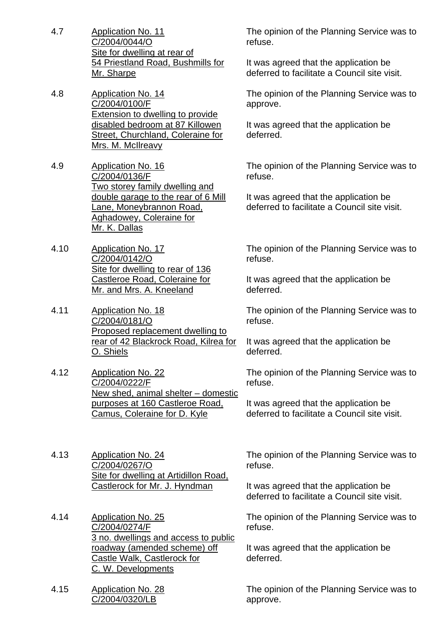- 4.7 Application No. 11 C/2004/0044/O Site for dwelling at rear of 54 Priestland Road, Bushmills for Mr. Sharpe
- 4.8 Application No. 14 C/2004/0100/F Extension to dwelling to provide disabled bedroom at 87 Killowen Street, Churchland, Coleraine for Mrs. M. McIlreavy
- 4.9 Application No. 16 C/2004/0136/F Two storey family dwelling and double garage to the rear of 6 Mill Lane, Moneybrannon Road, Aghadowey, Coleraine for Mr. K. Dallas
- 4.10 Application No. 17 C/2004/0142/O Site for dwelling to rear of 136 Castleroe Road, Coleraine for Mr. and Mrs. A. Kneeland
- 4.11 Application No. 18 C/2004/0181/O Proposed replacement dwelling to rear of 42 Blackrock Road, Kilrea for O. Shiels
- 4.12 Application No. 22 C/2004/0222/F New shed, animal shelter – domestic purposes at 160 Castleroe Road, Camus, Coleraine for D. Kyle
- 4.13 Application No. 24 C/2004/0267/O Site for dwelling at Artidillon Road, Castlerock for Mr. J. Hyndman
- 4.14 Application No. 25 C/2004/0274/F 3 no. dwellings and access to public roadway (amended scheme) off Castle Walk, Castlerock for C. W. Developments
- 4.15 Application No. 28 C/2004/0320/LB

The opinion of the Planning Service was to refuse.

It was agreed that the application be deferred to facilitate a Council site visit.

The opinion of the Planning Service was to approve.

It was agreed that the application be deferred.

The opinion of the Planning Service was to refuse.

It was agreed that the application be deferred to facilitate a Council site visit.

The opinion of the Planning Service was to refuse.

It was agreed that the application be deferred.

The opinion of the Planning Service was to refuse.

It was agreed that the application be deferred.

The opinion of the Planning Service was to refuse.

It was agreed that the application be deferred to facilitate a Council site visit.

The opinion of the Planning Service was to refuse.

It was agreed that the application be deferred to facilitate a Council site visit.

The opinion of the Planning Service was to refuse.

It was agreed that the application be deferred.

The opinion of the Planning Service was to approve.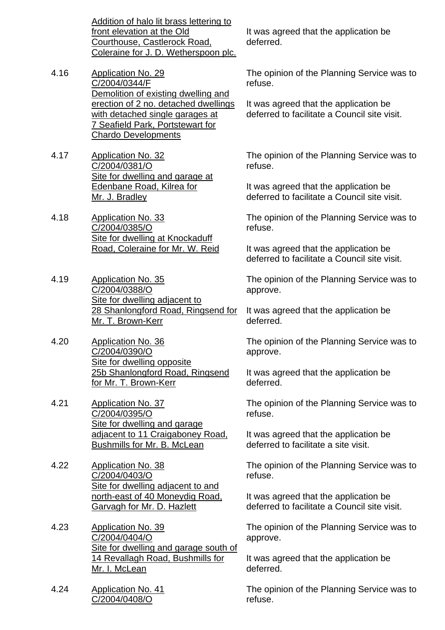Addition of halo lit brass lettering to front elevation at the Old Courthouse, Castlerock Road, Coleraine for J. D. Wetherspoon plc.

- 4.16 Application No. 29 C/2004/0344/F Demolition of existing dwelling and erection of 2 no. detached dwellings with detached single garages at 7 Seafield Park, Portstewart for Chardo Developments
- 4.17 Application No. 32 C/2004/0381/O Site for dwelling and garage at Edenbane Road, Kilrea for Mr. J. Bradley
- 4.18 Application No. 33 C/2004/0385/O Site for dwelling at Knockaduff Road, Coleraine for Mr. W. Reid
- 4.19 Application No. 35 C/2004/0388/O Site for dwelling adjacent to 28 Shanlongford Road, Ringsend for Mr. T. Brown-Kerr
- 4.20 Application No. 36 C/2004/0390/O Site for dwelling opposite 25b Shanlongford Road, Ringsend for Mr. T. Brown-Kerr
- 4.21 Application No. 37 C/2004/0395/O Site for dwelling and garage adjacent to 11 Craigaboney Road, Bushmills for Mr. B. McLean
- 4.22 Application No. 38 C/2004/0403/O Site for dwelling adjacent to and north-east of 40 Moneydig Road, Garvagh for Mr. D. Hazlett
- 4.23 Application No. 39 C/2004/0404/O Site for dwelling and garage south of 14 Revallagh Road, Bushmills for Mr. I. McLean
- 4.24 Application No. 41 C/2004/0408/O

It was agreed that the application be deferred.

The opinion of the Planning Service was to refuse.

It was agreed that the application be deferred to facilitate a Council site visit.

The opinion of the Planning Service was to refuse.

It was agreed that the application be deferred to facilitate a Council site visit.

The opinion of the Planning Service was to refuse.

It was agreed that the application be deferred to facilitate a Council site visit.

The opinion of the Planning Service was to approve.

It was agreed that the application be deferred.

The opinion of the Planning Service was to approve.

It was agreed that the application be deferred.

The opinion of the Planning Service was to refuse.

It was agreed that the application be deferred to facilitate a site visit.

The opinion of the Planning Service was to refuse.

It was agreed that the application be deferred to facilitate a Council site visit.

The opinion of the Planning Service was to approve.

It was agreed that the application be deferred.

The opinion of the Planning Service was to refuse.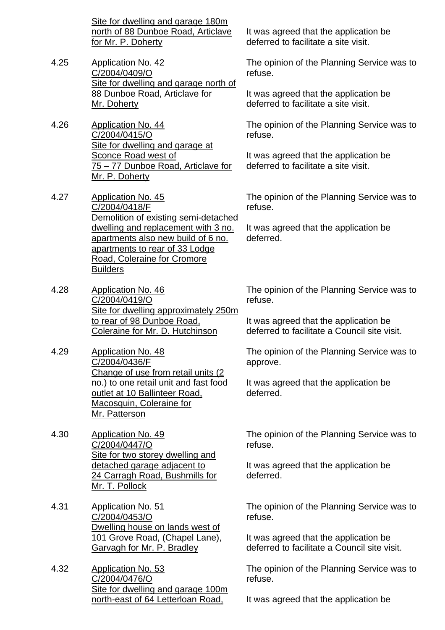Site for dwelling and garage 180m north of 88 Dunboe Road, Articlave for Mr. P. Doherty

- 4.25 Application No. 42 C/2004/0409/O Site for dwelling and garage north of 88 Dunboe Road, Articlave for Mr. Doherty
- 4.26 Application No. 44 C/2004/0415/O Site for dwelling and garage at Sconce Road west of 75 – 77 Dunboe Road, Articlave for Mr. P. Doherty
- 4.27 Application No. 45 C/2004/0418/F Demolition of existing semi-detached dwelling and replacement with 3 no. apartments also new build of 6 no. apartments to rear of 33 Lodge Road, Coleraine for Cromore Builders
- 4.28 Application No. 46 C/2004/0419/O Site for dwelling approximately 250m to rear of 98 Dunboe Road, Coleraine for Mr. D. Hutchinson
- 4.29 Application No. 48 C/2004/0436/F Change of use from retail units (2) no.) to one retail unit and fast food outlet at 10 Ballinteer Road, Macosquin, Coleraine for Mr. Patterson
- 4.30 Application No. 49 C/2004/0447/O Site for two storey dwelling and detached garage adjacent to 24 Carragh Road, Bushmills for Mr. T. Pollock
- 4.31 Application No. 51 C/2004/0453/O Dwelling house on lands west of 101 Grove Road, (Chapel Lane), Garvagh for Mr. P. Bradley
- 4.32 Application No. 53 C/2004/0476/O Site for dwelling and garage 100m north-east of 64 Letterloan Road,

It was agreed that the application be deferred to facilitate a site visit.

The opinion of the Planning Service was to refuse.

It was agreed that the application be deferred to facilitate a site visit.

The opinion of the Planning Service was to refuse.

It was agreed that the application be deferred to facilitate a site visit.

The opinion of the Planning Service was to refuse.

It was agreed that the application be deferred.

The opinion of the Planning Service was to refuse.

It was agreed that the application be deferred to facilitate a Council site visit.

The opinion of the Planning Service was to approve.

It was agreed that the application be deferred.

The opinion of the Planning Service was to refuse.

It was agreed that the application be deferred.

The opinion of the Planning Service was to refuse.

It was agreed that the application be deferred to facilitate a Council site visit.

The opinion of the Planning Service was to refuse.

It was agreed that the application be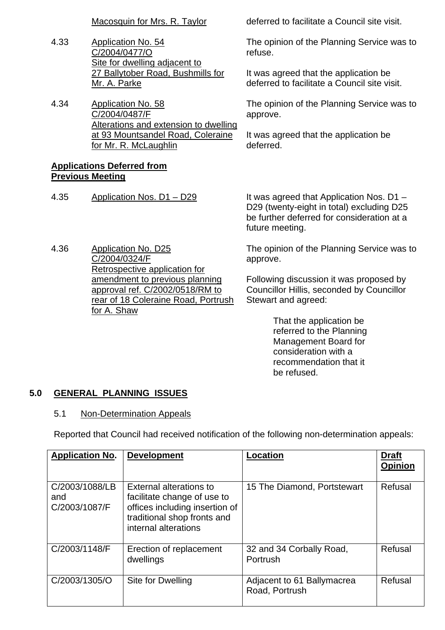- 4.33 Application No. 54 C/2004/0477/O Site for dwelling adjacent to 27 Ballytober Road, Bushmills for Mr. A. Parke
- 4.34 Application No. 58 C/2004/0487/F Alterations and extension to dwelling at 93 Mountsandel Road, Coleraine for Mr. R. McLaughlin

## **Applications Deferred from Previous Meeting**

4.36 Application No. D25 C/2004/0324/F Retrospective application for amendment to previous planning approval ref. C/2002/0518/RM to rear of 18 Coleraine Road, Portrush for A. Shaw

Macosquin for Mrs. R. Taylor deferred to facilitate a Council site visit.

The opinion of the Planning Service was to refuse.

It was agreed that the application be deferred to facilitate a Council site visit.

The opinion of the Planning Service was to approve.

It was agreed that the application be deferred.

4.35 Application Nos. D1 – D29 It was agreed that Application Nos. D1 – D29 (twenty-eight in total) excluding D25 be further deferred for consideration at a future meeting.

> The opinion of the Planning Service was to approve.

Following discussion it was proposed by Councillor Hillis, seconded by Councillor Stewart and agreed:

> That the application be referred to the Planning Management Board for consideration with a recommendation that it be refused.

## **5.0 GENERAL PLANNING ISSUES**

## 5.1 Non-Determination Appeals

Reported that Council had received notification of the following non-determination appeals:

| <b>Application No.</b>                 | <b>Development</b>                                                                                                                                     | <b>Location</b>                              | <b>Draft</b><br><b>Opinion</b> |
|----------------------------------------|--------------------------------------------------------------------------------------------------------------------------------------------------------|----------------------------------------------|--------------------------------|
| C/2003/1088/LB<br>and<br>C/2003/1087/F | <b>External alterations to</b><br>facilitate change of use to<br>offices including insertion of<br>traditional shop fronts and<br>internal alterations | 15 The Diamond, Portstewart                  | Refusal                        |
| C/2003/1148/F                          | Erection of replacement<br>dwellings                                                                                                                   | 32 and 34 Corbally Road,<br>Portrush         | Refusal                        |
| C/2003/1305/O                          | Site for Dwelling                                                                                                                                      | Adjacent to 61 Ballymacrea<br>Road, Portrush | Refusal                        |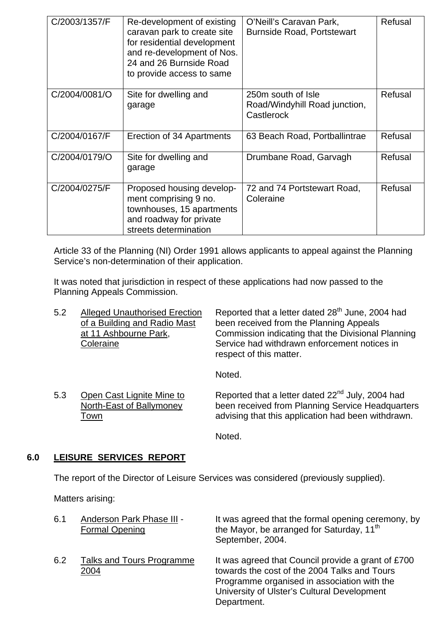| C/2003/1357/F | Re-development of existing<br>caravan park to create site<br>for residential development<br>and re-development of Nos.<br>24 and 26 Burnside Road<br>to provide access to same | O'Neill's Caravan Park,<br><b>Burnside Road, Portstewart</b>      | Refusal |
|---------------|--------------------------------------------------------------------------------------------------------------------------------------------------------------------------------|-------------------------------------------------------------------|---------|
| C/2004/0081/O | Site for dwelling and<br>garage                                                                                                                                                | 250m south of Isle<br>Road/Windyhill Road junction,<br>Castlerock | Refusal |
| C/2004/0167/F | Erection of 34 Apartments                                                                                                                                                      | 63 Beach Road, Portballintrae                                     | Refusal |
| C/2004/0179/O | Site for dwelling and<br>garage                                                                                                                                                | Drumbane Road, Garvagh                                            | Refusal |
| C/2004/0275/F | Proposed housing develop-<br>ment comprising 9 no.<br>townhouses, 15 apartments<br>and roadway for private<br>streets determination                                            | 72 and 74 Portstewart Road,<br>Coleraine                          | Refusal |

Article 33 of the Planning (NI) Order 1991 allows applicants to appeal against the Planning Service's non-determination of their application.

 It was noted that jurisdiction in respect of these applications had now passed to the Planning Appeals Commission.

| 5.2 | <b>Alleged Unauthorised Erection</b><br>of a Building and Radio Mast<br>at 11 Ashbourne Park,<br>Coleraine | Reported that a letter dated 28 <sup>th</sup> June, 2004 had<br>been received from the Planning Appeals<br>Commission indicating that the Divisional Planning<br>Service had withdrawn enforcement notices in<br>respect of this matter.<br>Noted. |
|-----|------------------------------------------------------------------------------------------------------------|----------------------------------------------------------------------------------------------------------------------------------------------------------------------------------------------------------------------------------------------------|
| 5.3 | Open Cast Lignite Mine to<br>North-East of Ballymoney<br>Town                                              | Reported that a letter dated 22 <sup>nd</sup> July, 2004 had<br>been received from Planning Service Headquarters<br>advising that this application had been withdrawn.                                                                             |

Noted.

## **6.0 LEISURE SERVICES REPORT**

The report of the Director of Leisure Services was considered (previously supplied).

Matters arising:

| 6.1 | Anderson Park Phase III -<br><b>Formal Opening</b> | It was agreed that the formal opening ceremony, by<br>the Mayor, be arranged for Saturday, 11 <sup>th</sup><br>September, 2004.                                                                                 |
|-----|----------------------------------------------------|-----------------------------------------------------------------------------------------------------------------------------------------------------------------------------------------------------------------|
| 6.2 | Talks and Tours Programme<br>2004                  | It was agreed that Council provide a grant of £700<br>towards the cost of the 2004 Talks and Tours<br>Programme organised in association with the<br>University of Ulster's Cultural Development<br>Department. |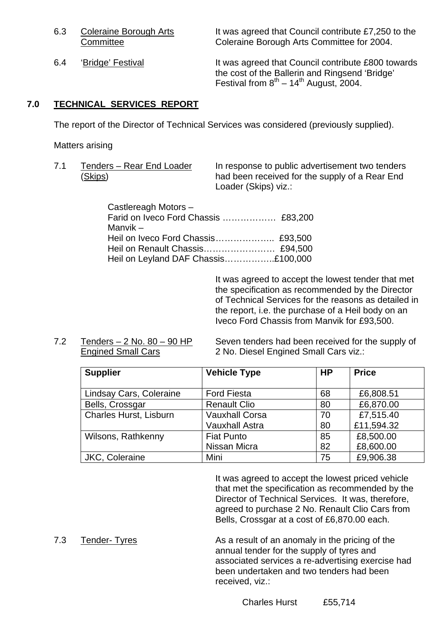6.3 Coleraine Borough Arts It was agreed that Council contribute £7,250 to the Committee Coleraine Borough Arts Committee for 2004.

6.4 'Bridge' Festival It was agreed that Council contribute £800 towards the cost of the Ballerin and Ringsend 'Bridge' Festival from  $8^{th} - 14^{th}$  August, 2004.

## **7.0 TECHNICAL SERVICES REPORT**

The report of the Director of Technical Services was considered (previously supplied).

Matters arising

7.1 Tenders – Rear End Loader In response to public advertisement two tenders (Skips) had been received for the supply of a Rear End Loader (Skips) viz.:

| Castlereagh Motors -                 |  |
|--------------------------------------|--|
| Farid on Iveco Ford Chassis  £83,200 |  |
| Manvik –                             |  |
|                                      |  |
|                                      |  |
| Heil on Leyland DAF Chassis£100,000  |  |

 It was agreed to accept the lowest tender that met the specification as recommended by the Director of Technical Services for the reasons as detailed in the report, i.e. the purchase of a Heil body on an Iveco Ford Chassis from Manvik for £93,500.

 7.2 Tenders – 2 No. 80 – 90 HP Seven tenders had been received for the supply of Engined Small Cars 2 No. Diesel Engined Small Cars viz.:

| <b>Supplier</b>         | <b>Vehicle Type</b>   | <b>HP</b> | <b>Price</b> |
|-------------------------|-----------------------|-----------|--------------|
|                         |                       |           |              |
| Lindsay Cars, Coleraine | <b>Ford Fiesta</b>    | 68        | £6,808.51    |
| Bells, Crossgar         | <b>Renault Clio</b>   | 80        | £6,870.00    |
| Charles Hurst, Lisburn  | <b>Vauxhall Corsa</b> | 70        | £7,515.40    |
|                         | <b>Vauxhall Astra</b> | 80        | £11,594.32   |
| Wilsons, Rathkenny      | <b>Fiat Punto</b>     | 85        | £8,500.00    |
|                         | Nissan Micra          | 82        | £8,600.00    |
| JKC, Coleraine          | Mini                  | 75        | £9,906.38    |

 It was agreed to accept the lowest priced vehicle that met the specification as recommended by the Director of Technical Services. It was, therefore, agreed to purchase 2 No. Renault Clio Cars from Bells, Crossgar at a cost of £6,870.00 each.

7.3 Tender- Tyres As a result of an anomaly in the pricing of the annual tender for the supply of tyres and associated services a re-advertising exercise had been undertaken and two tenders had been received, viz.: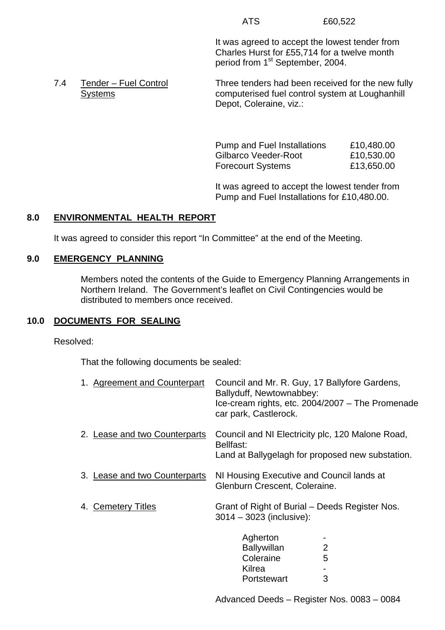It was agreed to accept the lowest tender from Charles Hurst for £55,714 for a twelve month period from 1<sup>st</sup> September, 2004.

7.4 Tender – Fuel Control Three tenders had been received for the new fully Systems computerised fuel control system at Loughanhill Depot, Coleraine, viz.:

> Pump and Fuel Installations £10,480.00 Gilbarco Veeder-Root £10,530.00 Forecourt Systems **£13,650.00**

 It was agreed to accept the lowest tender from Pump and Fuel Installations for £10,480.00.

## **8.0 ENVIRONMENTAL HEALTH REPORT**

It was agreed to consider this report "In Committee" at the end of the Meeting.

## **9.0 EMERGENCY PLANNING**

 Members noted the contents of the Guide to Emergency Planning Arrangements in Northern Ireland. The Government's leaflet on Civil Contingencies would be distributed to members once received.

## **10.0 DOCUMENTS FOR SEALING**

Resolved:

That the following documents be sealed:

| 1. Agreement and Counterpart  | Council and Mr. R. Guy, 17 Ballyfore Gardens,<br>Ballyduff, Newtownabbey:<br>Ice-cream rights, etc. 2004/2007 - The Promenade<br>car park, Castlerock. |
|-------------------------------|--------------------------------------------------------------------------------------------------------------------------------------------------------|
| 2. Lease and two Counterparts | Council and NI Electricity plc, 120 Malone Road,<br>Bellfast:<br>Land at Ballygelagh for proposed new substation.                                      |
| 3. Lease and two Counterparts | NI Housing Executive and Council lands at<br>Glenburn Crescent, Coleraine.                                                                             |
| <b>Cemetery Titles</b><br>4.  | Grant of Right of Burial - Deeds Register Nos.<br>$3014 - 3023$ (inclusive):                                                                           |
|                               | Agherton<br>2<br><b>Ballywillan</b><br>5<br>Coleraine<br>Kilrea<br>3<br>Portstewart                                                                    |

Advanced Deeds – Register Nos. 0083 – 0084